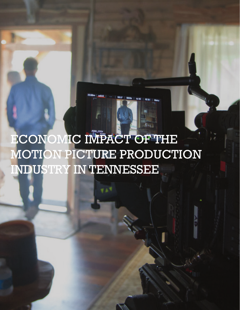ECONOMIC IMPACT OF THE MOTION PICTURE PRODUCTION INDUSTRY IN TENNESSEE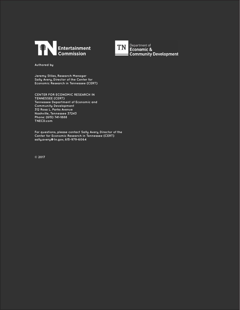



TN Department of<br>Economic & **Community Development** 

**Authored by**

**Jeremy Stiles, Research Manager Sally Avery, Director of the Center for Economic Research in Tennessee (CERT)**

**CENTER FOR ECONOMIC RESEARCH IN TENNESSEE (CERT) Tennessee Department of Economic and Community Development 312 Rosa L. Parks Avenue Nashville, Tennessee 37243 Phone: (615) 741-1888 TNECD.com**

**For questions, please contact Sally Avery, Director of the Center for Economic Research in Tennessee (CERT) sally.avery@tn.gov, 615-979-6064**

**© 2017**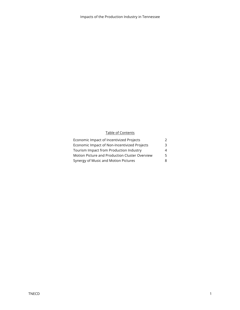#### Table of Contents

| Economic Impact of Incentivized Projects       |    |
|------------------------------------------------|----|
| Economic Impact of Non-Incentivized Projects   | ີຊ |
| Tourism Impact from Production Industry        | 4  |
| Motion Picture and Production Cluster Overview | 5. |
| Synergy of Music and Motion Pictures           | 8. |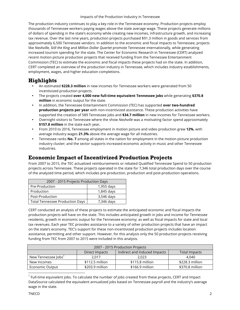The production industry continues to play a key role in the Tennessee economy. Production projects employ thousands of Tennessee workers paying wages above the state average wage. These projects generate millions of dollars of spending in the state's economy while creating new incomes, infrastructure growth, and increasing tax revenue. Over the last nine years, production projects purchased \$91.3 million in goods and services from approximately 6,500 Tennessee vendors. In addition to the economic and fiscal impacts to Tennessee, projects like *Nashville, Still the King* and *Million Dollar Quartet* promote Tennessee internationally, while generating increased tourism spending for the state. The Center for Economic Research in Tennessee (CERT) analyzed recent motion picture production projects that received funding from the Tennessee Entertainment Commission (TEC) to estimate the economic and fiscal impacts these projects had on the state. In addition, CERT completed an overview of the production industry in Tennessee, which includes industry establishments, employment, wages, and higher education completions.

# **Highlights**

- An estimated **\$228.3 million** in new incomes for Tennessee workers were generated from 50 incentivized production projects.
- The projects created **over 4,000 new full-time equivalent Tennessee jobs** while generating **\$370.8 million** in economic output for the state.
- In addition, the Tennessee Entertainment Commission (TEC) has supported **over two-hundred production projects per year** with non-incentivized assistance. These production activities have supported the creation of 589 Tennessee jobs and **\$34.7 million** in new incomes for Tennessee workers.
- Overnight visitors to Tennessee where the show *Nashville* was a motivating factor spend approximately **\$157.8 million** in the state each year**.**
- From 2010 to 2016, Tennessee employment in motion picture and video production grew **12%**, with average industry wages **21.3%** above the average wage for all industries.
- Tennessee ranks **No. 7** among all states in the nation for employment in the motion picture production industry cluster; and the sector supports increased economic activity in music and other Tennessee industries.

# **Economic Impact of Incentivized Production Projects**

From 2007 to 2015, the TEC actualized reimbursements or rebated Qualified Tennessee Spend to 50 production projects across Tennessee. These projects operated in the state for 7,346 total production days over the course of the analyzed time period, which includes pre-production, production and post-production operations.

| 2007 - 2015 Projects Production Days   |            |
|----------------------------------------|------------|
| Pre-Production                         | 1,955 days |
| Production                             | 1,845 days |
| Post-Production                        | 3,546 days |
| <b>Total Tennessee Production Days</b> | 7,346 days |

CERT conducted an analysis of these projects to estimate the anticipated economic and fiscal impacts the production projects will have on the state. This includes anticipated growth in jobs and income for Tennessee residents, growth in economic output for the Tennessee economy; as well as fiscal impacts for state and local tax revenues. Each year TEC provides assistance to a variety of other production projects that have an impact on the state's economy. TEC's support for these non-incentivized production projects includes location assistance, permitting and other support. However, for this analysis only the 50 production projects receiving funding from TEC from 2007 to 2015 were included in this analysis.

|                                 |                 | 2007 - 2015 Production Projects |                      |
|---------------------------------|-----------------|---------------------------------|----------------------|
|                                 | Direct Impacts  | Indirect and Induced Impacts    | <b>Total Impacts</b> |
| New Tennessee Jobs <sup>1</sup> | 2.017           | 2.023                           | 4.040                |
| New Incomes                     | \$112.5 million | \$115.8 million                 | \$228.3 million      |
| Economic Output                 | \$203.9 million | \$166.9 million                 | \$370.8 million      |

 $^1$  Full-time equivalent jobs. To calculate the number of jobs created from these projects, CERT and Impact DataSource calculated the equivalent annualized jobs based on Tennessee payroll and the industry's average wage in the state.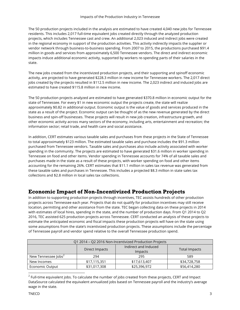The 50 production projects included in the analysis are estimated to have created 4,040 new jobs for Tennessee residents. This includes 2,017 full-time equivalent jobs created directly through the analyzed production projects, which includes Tennessee cast and crew. An additional 2,023 induced and indirect jobs were created in the regional economy in support of the production activities. This activity indirectly impacts the supplier or vendor network through business-to-business spending. From 2007 to 2015, the productions purchased \$91.4 million in goods and services from approximately 6,500 Tennessee vendors. The direct and indirect economic impacts induce additional economic activity, supported by workers re-spending parts of their salaries in the state.

The new jobs created from the incentivized production projects, and their supporting and spinoff economic activity, are projected to have generated \$228.3 million in new income for Tennessee workers. The 2,017 direct jobs created by the projects resulted in \$112.5 million in new income. The 2,023 indirect and induced jobs are estimated to have created \$115.8 million in new income.

The 50 production projects analyzed are estimated to have generated \$370.8 million in economic output for the state of Tennessee. For every \$1 in new economic output the projects create, the state will realize approximately \$0.82 in additional output. Economic output is the value of goods and services produced in the state as a result of the project. Economic output can be thought of as the new revenue generated by the direct business and spin-off businesses. These projects will result in new job creation, infrastructure growth, and other economic activity across many sectors of the economy, including arts, entertainment and recreation; the information sector; retail trade, and health care and social assistance.

In addition, CERT estimates various taxable sales and purchases from these projects in the State of Tennessee to total approximately \$123 million. The estimated taxable sales and purchase includes the \$91.3 million purchased from Tennessee vendors. Taxable sales and purchases also include activity associated with worker spending in the community. The projects are estimated to have generated \$31.6 million in worker spending in Tennessee on food and other items. Vendor spending in Tennessee accounts for 74% of all taxable sales and purchases made in the state as a result of these projects, with worker spending on food and other items accounting for the remaining 26%. CERT estimates that \$11.1 million in sales tax revenue was generated from these taxable sales and purchases in Tennessee. This includes a projected \$8.3 million in state sales tax collections and \$2.8 million in local sales tax collections.

## **Economic Impact of Non-Incentivized Production Projects**

In addition to supporting production projects through incentives, TEC assists hundreds of other production projects across Tennessee each year. Projects that do not qualify for production incentives may still receive location, permitting and other assistance from the state. TEC began collecting data on these projects in 2014 with estimates of local hires, spending in the state, and the number of production days. From Q1 2014 to Q2 2016, TEC assisted 625 production projects across Tennessee. CERT conducted an analysis of these projects to estimate the anticipated economic and fiscal impacts these production projects will have on the state using some assumptions from the state's incentivized production projects. These assumptions include the percentage of Tennessee payroll and vendor spend relative to the overall Tennessee production spend.

|                                 |                | Q1 2014 - Q2 2016 Non-Incentivized Production Projects |                      |
|---------------------------------|----------------|--------------------------------------------------------|----------------------|
|                                 | Direct Impacts | Indirect and Induced<br><i>Impacts</i>                 | <b>Total Impacts</b> |
| New Tennessee Jobs <sup>2</sup> | 294            | 295                                                    | 589                  |
| New Incomes                     | \$17,115,351   | \$17,613,407                                           | \$34,728,758         |
| Economic Output                 | \$31,017,308   | \$25,396,972                                           | \$56,414,280         |

 $<sup>2</sup>$  Full-time equivalent jobs. To calculate the number of jobs created from these projects, CERT and Impact</sup> DataSource calculated the equivalent annualized jobs based on Tennessee payroll and the industry's average wage in the state.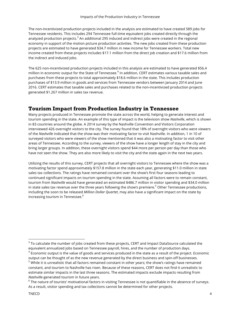The non-incentivized production projects included in the analysis are estimated to have created 589 jobs for Tennessee residents. This includes 294 Tennessee full-time equivalent jobs created directly through the analyzed production projects.<sup>3</sup> An additional 295 induced and indirect jobs were created in the regional economy in support of the motion picture production activities. The new jobs created from these production projects are estimated to have generated \$34.7 million in new income for Tennessee workers. Total new income created from these projects includes \$17.1 million from the direct job creation and \$17.6 million from the indirect and induced jobs.

The 625 non-incentivized production projects included in this analysis are estimated to have generated \$56.4 million in economic output for the State of Tennessee.<sup>4</sup> In addition, CERT estimates various taxable sales and purchases from these projects to total approximately \$18.6 million in the state. This includes production purchases of \$13.9 million in goods and services from Tennessee vendors between January 2014 and June 2016. CERT estimates that taxable sales and purchases related to the non-incentivized production projects generated \$1.267 million in sales tax revenue.

## **Tourism Impact from Production Industry in Tennessee**

Many projects produced in Tennessee promote the state across the world, helping to generate interest and tourism spending in the state. An example of this type of impact is the television show *Nashville*, which is shown in 83 countries around the globe. A 2014 survey by the Nashville Convention and Visitors Corporation interviewed 426 overnight visitors to the city. The survey found that 18% of overnight visitors who were viewers of the *Nashville* indicated that the show was their motivating factor to visit Nashville. In addition, 1 in 10 of surveyed visitors who were viewers of the show mentioned that it was also a motivating factor to visit other areas of Tennessee. According to the survey, viewers of the show have a longer length of stay in the city and bring larger groups. In addition, these overnight visitors spend \$44 more per person per day than those who have not seen the show. They are also more likely to visit the city and the state again in the next two years.

Utilizing the results of this survey, CERT projects that all overnight visitors to Tennessee where the show was a motivating factor spend approximately \$157.8 million in the state each year, generating \$11.0 million in state sales tax collections. The ratings have remained constant over the show's first four seasons leading to continued significant impacts on tourism spending in the state. Assuming all factors were to remain constant, tourism from *Nashville* would have generated an estimated \$486.7 million in visitor spending and \$34.0 million in state sales tax revenue over the three years following the show's premiere.<sup>5</sup> Other Tennessee productions, including the soon to be released *Million Dollar Quartet*, may also have a significant impact on the state by increasing tourism in Tennessee.<sup>6</sup>

 $3$  To calculate the number of jobs created from these projects, CERT and Impact DataSource calculated the equivalent annualized jobs based on Tennessee payroll, hires, and the number of production days.

 $4$  Economic output is the value of goods and services produced in the state as a result of the project. Economic output can be thought of as the new revenue generated by the direct business and spin-off businesses. <sup>5</sup> While it is unrealistic that all factors remained constant in other years; the show's ratings have remained constant, and tourism to Nashville has risen. Because of these reasons, CERT does not find it unrealistic to estimate similar impacts in the last three seasons. The estimated impacts exclude impacts resulting from *Nashville*-generated tourism in future years.

 $6$  The nature of tourists' motivational factors in visiting Tennessee is not quantifiable in the absence of surveys. As a result, visitor spending and tax collections cannot be determined for other projects.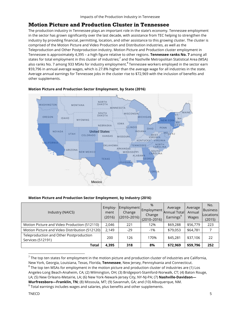### **Motion Picture and Production Cluster in Tennessee**

The production industry in Tennessee plays an important role in the state's economy. Tennessee employment in the sector has grown significantly over the last decade, with assistance from TEC helping to strengthen the industry by providing financial, permitting, location, and other assistance to this growing cluster. The cluster is comprised of the Motion Picture and Video Production and Distribution industries, as well as the Teleproduction and Other Postproduction industry. Motion Picture and Production cluster employment in Tennessee is approximately 4,395 – a high figure relative to other regions. **Tennessee ranks No. 7** among all states for total employment in this cluster of industries; $^7$  and the Nashville Metropolitan Statistical Area (MSA) also ranks No. 7 among 933 MSAs for industry employment.<sup>8</sup> Tennessee workers employed in the sector earn \$59,796 in annual average wages, which is 27.8% higher than the average wage for all industries in the state. Average annual earnings for Tennessee jobs in the cluster rise to \$72,969 with the inclusion of benefits and other supplements.



#### **Motion Picture and Production Sector Employment, by State (2016)**

#### **Motion Picture and Production Sector Employment, by Industry (2016)**

| Industry (NAICS)                                             | Employ-<br>ment<br>(2016) | Change<br>$(2010 - 2016)$ | $\%$<br>Employment   Employment l<br>Change<br>$(2010 - 2016)$ | Average<br>Annual Total<br>Earnings <sup>9</sup> | Average<br>Annual<br><b>Wages</b> | No.<br><b>Business</b><br>Locations<br>(2015) |
|--------------------------------------------------------------|---------------------------|---------------------------|----------------------------------------------------------------|--------------------------------------------------|-----------------------------------|-----------------------------------------------|
| Motion Picture and Video Production (512110)                 | 2,046                     | 221                       | 12%                                                            | \$69,288                                         | \$56,779                          | 223                                           |
| Motion Picture and Video Distribution (512120)               | 2,149                     | $-29$                     | $-1%$                                                          | \$79,053                                         | \$64,781                          |                                               |
| Teleproduction and Other Postproduction<br>Services (512191) | 200                       | 126                       | 170%                                                           | \$45,281                                         | \$37,106                          | 22                                            |
| Total                                                        | 4,395                     | 318                       | 8%                                                             | \$72,969                                         | \$59,796                          | 252                                           |

 $7$  The top ten states for employment in the motion picture and production cluster of industries are California, New York, Georgia, Louisiana, Texas, Florida, **Tennessee**, New Jersey, Pennsylvania and Connecticut.  $8$  The top ten MSAs for employment in the motion picture and production cluster of industries are (1) Los Angeles-Long Beach-Anaheim, CA; (2) Wilmington, OH; (3) Bridgeport-Stamford-Norwalk, CT; (4) Baton Rouge,

LA; (5) New Orleans-Metairie, LA; (6) New York-Newark-Jersey City, NY-NJ-PA; (7) **Nashville-Davidson— Murfreesboro—Franklin, TN**; (8) Missoula, MT; (9) Savannah, GA; and (10) Albuquerque, NM.

 $9$  Total earnings includes wages and salaries, plus benefits and other supplements.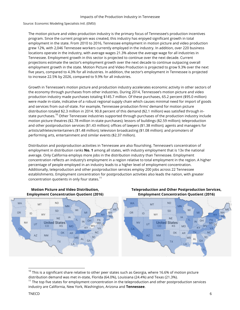Source: Economic Modeling Specialists Intl. (EMSI)

The motion picture and video production industry is the primary focus of Tennessee's production incentives program. Since the current program was created, this industry has enjoyed significant growth in total employment in the state. From 2010 to 2016, Tennessee employment in motion picture and video production grew 12%, with 2,046 Tennessee workers currently employed in the industry. In addition, over 220 business locations operate in the industry, with average wages 21.3% above the average wage for all industries in Tennessee. Employment growth in this sector is projected to continue over the next decade. Current projections estimate the sector's employment growth over the next decade to continue outpacing overall employment growth in the state. Motion Picture and Video Production is projected to grow 9.3% over the next five years, compared to 4.3% for all industries. In addition, the sector's employment in Tennessee is projected to increase 22.5% by 2026, compared to 9.9% for all industries.

Growth in Tennessee's motion picture and production industry accelerates economic activity in other sectors of the economy through purchases from other industries. During 2014, Tennessee's motion picture and video production industry made purchases totaling \$145.7 million. Of these purchases, 65.2 percent (\$95.0 million) were made in-state, indicative of a robust regional supply chain which causes minimal need for import of goods and services from out-of-state. For example, Tennessee production firms' demand for motion picture distribution totaled \$2.3 million in 2014. 90.8 percent of this demand (\$2.1 million) was satisfied through instate purchases.<sup>10</sup> Other Tennessee industries supported through purchases of the production industry include motion picture theatres (\$2.78 million in-state purchases); lessors of buildings (\$2.59 million); teleproduction and other postproduction services (\$1.43 million); offices of lawyers (\$1.38 million); agents and managers for artists/athletes/entertainers (\$1.48 million); television broadcasting (\$1.08 million); and promoters of performing arts, entertainment and similar events (\$2.37 million).

Distribution and postproduction activities in Tennessee are also flourishing. Tennessee's concentration of employment in distribution ranks **No. 1** among all states, with industry employment that is 13x the national average. Only California employs more jobs in the distribution industry than Tennessee. Employment concentration reflects an industry's employment in a region relative to total employment in the region. A higher percentage of people employed in an industry leads to a higher level of employment concentration. Additionally, teleproduction and other postproduction services employ 200 jobs across 22 Tennessee establishments. Employment concentration for postproduction activities also leads the nation, with greater concentration quotients in only four states. $^{11}$ 



**Motion Picture and Video Distribution, Employment Concentration Quotient (2016)**

#### **Teleproduction and Other Postproduction Services, Employment Concentration Quotient (2016)**

 $10$  This is a significant share relative to other peer states such as Georgia, where 16.6% of motion picture distribution demand was met in-state, Florida (64.0%), Louisiana (24.4%) and Texas (21.3%).

 $11$  The top five states for employment concentration in the teleproduction and other postproduction services industry are California, New York, Washington, Arizona and **Tennessee**.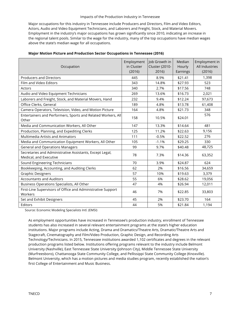Major occupations for this industry in Tennessee include Producers and Directors, Film and Video Editors, Actors, Audio and Video Equipment Technicians, and Laborers and Freight, Stock, and Material Movers. Employment in the industry's major occupations has grown significantly since 2010, indicating an increase in the regional talent pools. Similar to the wage for the industry, many of the top occupations have median wages above the state's median wage for all occupations.

| Occupation                                                                         | Employment<br>in Cluster<br>(2016) | Job Growth in<br>Cluster (2010-<br>2016) | Median<br>Hourly<br>Earnings | Employment in<br>All Industries<br>(2016) |
|------------------------------------------------------------------------------------|------------------------------------|------------------------------------------|------------------------------|-------------------------------------------|
| <b>Producers and Directors</b>                                                     | 445                                | 8.9%                                     | \$21.41                      | 1,398                                     |
| Film and Video Editors                                                             | 343                                | 14.8%                                    | \$27.93                      | 523                                       |
| Actors                                                                             | 340                                | 2.7%                                     | \$17.56                      | 748                                       |
| Audio and Video Equipment Technicians                                              | 269                                | 13.6%                                    | \$16.73                      | 2,021                                     |
| Laborers and Freight, Stock, and Material Movers, Hand                             | 232                                | 9.4%                                     | \$12.24                      | 97,673                                    |
| Office Clerks, General                                                             | 189                                | 4.8%                                     | \$13.78                      | 61,408                                    |
| Camera Operators, Television, Video, and Motion Picture                            | 164                                | 4.8%                                     | \$21.73                      | 348                                       |
| Entertainers and Performers, Sports and Related Workers, All<br>Other              | 158                                | 10.5%                                    | \$24.01                      | 576                                       |
| Media and Communication Workers, All Other                                         | 147                                | 13.3%                                    | \$14.64                      | 481                                       |
| Production, Planning, and Expediting Clerks                                        | 125                                | 11.2%                                    | \$22.63                      | 9,156                                     |
| <b>Multimedia Artists and Animators</b>                                            | 111                                | $-0.5%$                                  | \$22.52                      | 276                                       |
| Media and Communication Equipment Workers, All Other                               | 105                                | $-1.1%$                                  | \$29.25                      | 330                                       |
| <b>General and Operations Managers</b>                                             | 99                                 | 9.7%                                     | \$40.48                      | 48,725                                    |
| Secretaries and Administrative Assistants, Except Legal,<br>Medical, and Executive | 78                                 | 7.3%                                     | \$14.36                      | 63,352                                    |
| Sound Engineering Technicians                                                      | 70                                 | 3.9%                                     | \$24.87                      | 624                                       |
| Bookkeeping, Accounting, and Auditing Clerks                                       | 62                                 | 2%                                       | \$16.56                      | 34,659                                    |
| <b>Graphic Designers</b>                                                           | 57                                 | 10%                                      | \$19.63                      | 3,379                                     |
| <b>Accountants and Auditors</b>                                                    | 55                                 | 6%                                       | \$28.62                      | 19,056                                    |
| Business Operations Specialists, All Other                                         | 47                                 | 4%                                       | \$26.94                      | 12,011                                    |
| First-Line Supervisors of Office and Administrative Support<br>Workers             | 46                                 | 7%                                       | \$22.85                      | 33,803                                    |
| Set and Exhibit Designers                                                          | 45                                 | 2%                                       | \$23.70                      | 164                                       |
| Editors                                                                            | 44                                 | 5%                                       | \$21.84                      | 1,194                                     |

#### **Major Motion Picture and Production Sector Occupations in Tennessee (2016)**

Source: Economic Modeling Specialists Intl. (EMSI)

As employment opportunities have increased in Tennessee's production industry, enrollment of Tennessee students has also increased in several relevant entertainment programs at the state's higher education institutions. Major programs include Acting, Drama and Dramatics/Theatre Arts, Dramatic/Theatre Arts and Stagecraft, Cinematography and Film/Video Production, Graphic Design, and Recording Arts Technology/Technicians. In 2015, Tennessee institutions awarded 1,102 certificates and degrees in the relevant production programs listed below. Institutions offering programs relevant to the industry include Belmont University (Nashville), East Tennessee State University (Johnson City), Middle Tennessee State University (Murfreesboro), Chattanooga State Community College, and Pellissippi State Community College (Knoxville). Belmont University, which has a motion pictures and media studies program, recently established the nation's first College of Entertainment and Music Business.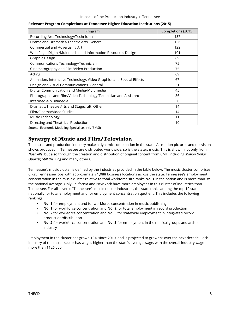| Program                                                               | Completions (2015) |
|-----------------------------------------------------------------------|--------------------|
| Recording Arts Technology/Technician                                  | 157                |
| Drama and Dramatics/Theatre Arts, General                             | 136                |
| Commercial and Advertising Art                                        | 122                |
| Web Page, Digital/Multimedia and Information Resources Design         | 101                |
| Graphic Design                                                        | 89                 |
| Communications Technology/Technician                                  | 75                 |
| Cinematography and Film/Video Production                              | 75                 |
| Acting                                                                | 69                 |
| Animation, Interactive Technology, Video Graphics and Special Effects | 67                 |
| Design and Visual Communications, General                             | 51                 |
| Digital Communication and Media/Multimedia                            | 45                 |
| Photographic and Film/Video Technology/Technician and Assistant       | 36                 |
| Intermedia/Multimedia                                                 | 30                 |
| Dramatic/Theatre Arts and Stagecraft, Other                           | 14                 |
| Film/Cinema/Video Studies                                             | 14                 |
| Music Technology                                                      | 11                 |
| Directing and Theatrical Production                                   | 10                 |

#### **Relevant Program Completions at Tennessee Higher Education Institutions (2015)**

Source: Economic Modeling Specialists Intl. (EMSI)

## **Synergy of Music and Film/Television**

The music and production industry make a dynamic combination in the state. As motion pictures and television shows produced in Tennessee are distributed worldwide, so is the state's music. This is shown, not only from *Nashville*, but also through the creation and distribution of original content from CMT, including *Million Dollar Quartet, Still the King* and many others.

Tennessee's music cluster is defined by the industries provided in the table below. The music cluster comprises 6,725 Tennessee jobs with approximately 1,088 business locations across the state. Tennessee's employment concentration in the music cluster relative to total workforce size ranks **No. 1** in the nation and is more than 3x the national average. Only California and New York have more employees in this cluster of industries than Tennessee. For all seven of Tennessee's music cluster industries, the state ranks among the top 10 states nationally for total employment and for employment concentration quotient. This includes the following rankings:

- **No. 1** for employment and for workforce concentration in music publishing
- **No. 1** for workforce concentration and **No. 2** for total employment in record production
- **No. 2** for workforce concentration and **No. 3** for statewide employment in integrated record production/distribution
- **No. 2** for workforce concentration and **No. 3** for employment in the musical groups and artists industry

Employment in the cluster has grown 19% since 2010, and is projected to grow 5% over the next decade. Each industry of the music sector has wages higher than the state's average wage, with the overall industry wage more than \$126,000.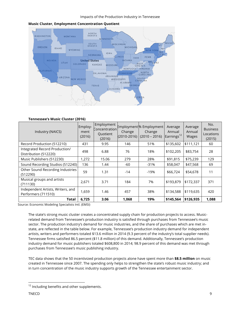

### **Music Cluster, Employment Concentration Quotient**

#### **Tennessee's Music Cluster (2016)**

| Industry (NAICS)                                         | Employ-<br>ment<br>(2016) | Employment<br>Concentration<br>Quotient<br>(2016) | Change<br>$(2010 - 2016)$ | Employment% Employment<br>Change<br>$(2010 - 2016)$ | Average<br>Annual<br>Earnings <sup>12</sup> | Average<br>Annual<br>Wages | No.<br><b>Business</b><br>Locations<br>(2015) |
|----------------------------------------------------------|---------------------------|---------------------------------------------------|---------------------------|-----------------------------------------------------|---------------------------------------------|----------------------------|-----------------------------------------------|
| Record Production (512210)                               | 431                       | 9.95                                              | 146                       | 51%                                                 | \$135,602                                   | \$111,121                  | 60                                            |
| Integrated Record Production/<br>Distribution (512220)   | 498                       | 6.88                                              | 76                        | 18%                                                 | \$102,205                                   | \$83,754                   | 28                                            |
| Music Publishers (512230)                                | 1,272                     | 15.06                                             | 279                       | 28%                                                 | \$91,815                                    | \$75,239                   | 129                                           |
| Sound Recording Studios (512240)                         | 136                       | 1.44                                              | -60                       | $-31%$                                              | \$58,047                                    | \$47,568                   | 69                                            |
| Other Sound Recording Industries<br>(512290)             | 59                        | 1.31                                              | $-14$                     | $-19%$                                              | \$66,724                                    | \$54,678                   | 11                                            |
| Musical groups and artists<br>(711130)                   | 2,671                     | 3.71                                              | 184                       | 7%                                                  | \$193,879                                   | \$172,337                  | 371                                           |
| Independent Artists, Writers, and<br>Performers (711510) | 1,659                     | 1.46                                              | 457                       | 38%                                                 | \$134,588                                   | \$119,635                  | 420                                           |
| Total                                                    | 6,725                     | 3.06                                              | 1,068                     | 19%                                                 | \$145,564                                   | \$126,935                  | 1,088                                         |

Source: Economic Modeling Specialists Intl. (EMSI)

The state's strong music cluster creates a concentrated supply chain for production projects to access. Musicrelated demand from Tennessee's production industry is satisfied through purchases from Tennessee's music sector. The production industry's demand for music industries, and the share of purchases which are met instate, are reflected in the table below. For example, Tennessee's production industry demand for independent artists, writers and performers totaled \$13.6 million in 2014 (9.3 percent of the industry's total supplier needs). Tennessee firms satisfied 86.5 percent (\$11.8 million) of this demand. Additionally, Tennessee's production industry demand for music publishers totaled \$608,800 in 2014; 98.9 percent of this demand was met through purchases from Tennessee's music publishing industry.

TEC data shows that the 50 incentivized production projects alone have spent more than **\$8.5 million** on music created in Tennessee since 2007. The spending only helps to strengthen the state's robust music industry; and in turn concentration of the music industry supports growth of the Tennessee entertainment sector.

 $12$  Including benefits and other supplements.